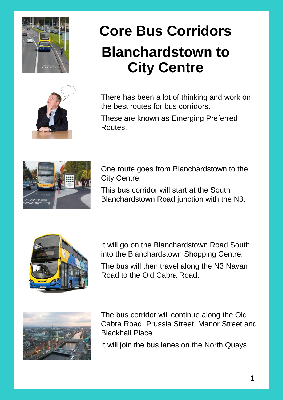

## **Core Bus Corridors Blanchardstown to City Centre**



There has been a lot of thinking and work on the best routes for bus corridors.

These are known as Emerging Preferred Routes.



One route goes from Blanchardstown to the City Centre.

This bus corridor will start at the South Blanchardstown Road junction with the N3.



It will go on the Blanchardstown Road South into the Blanchardstown Shopping Centre.

The bus will then travel along the N3 Navan Road to the Old Cabra Road.



The bus corridor will continue along the Old Cabra Road, Prussia Street, Manor Street and Blackhall Place.

It will join the bus lanes on the North Quays.